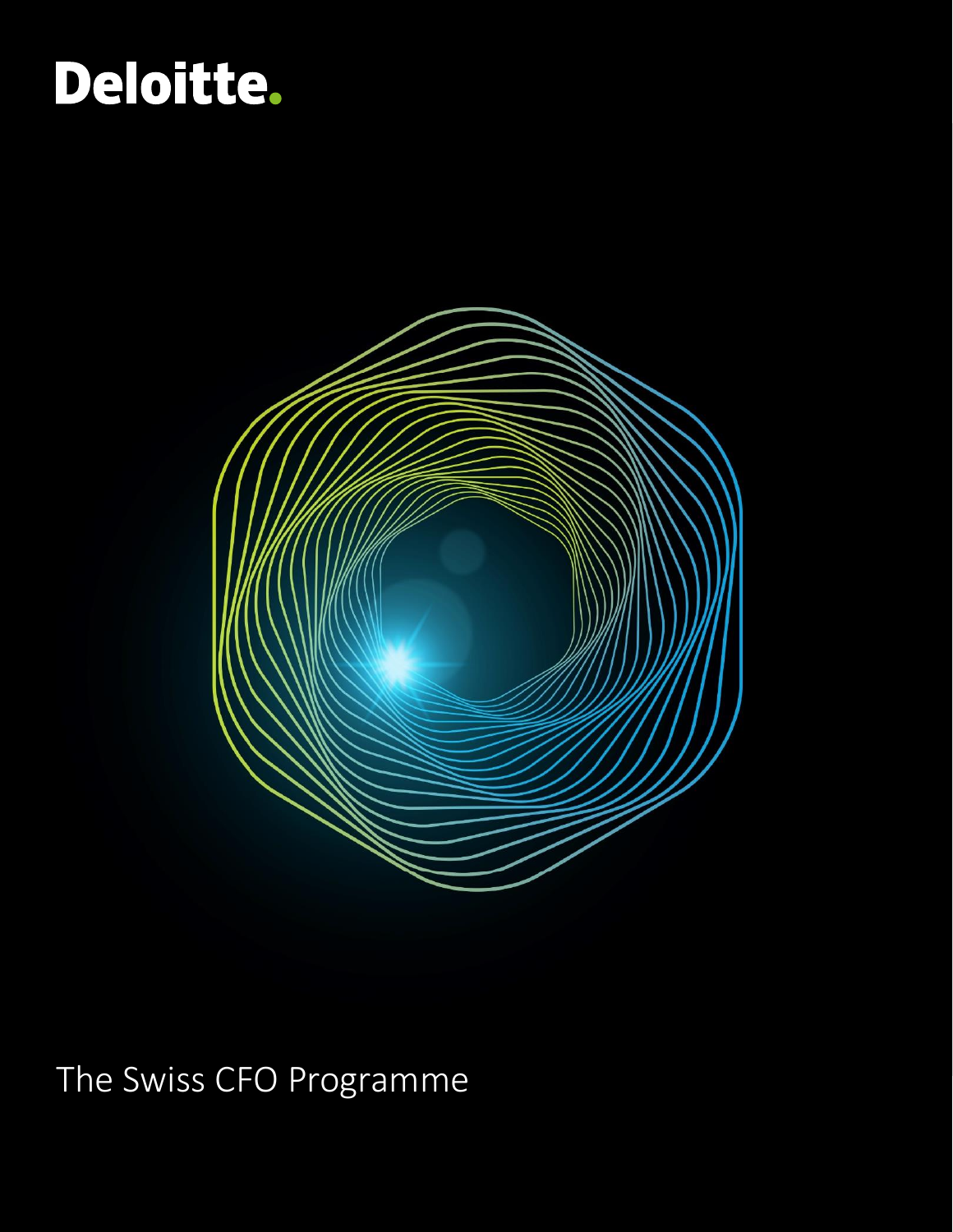# Deloitte.



The Swiss CFO Programme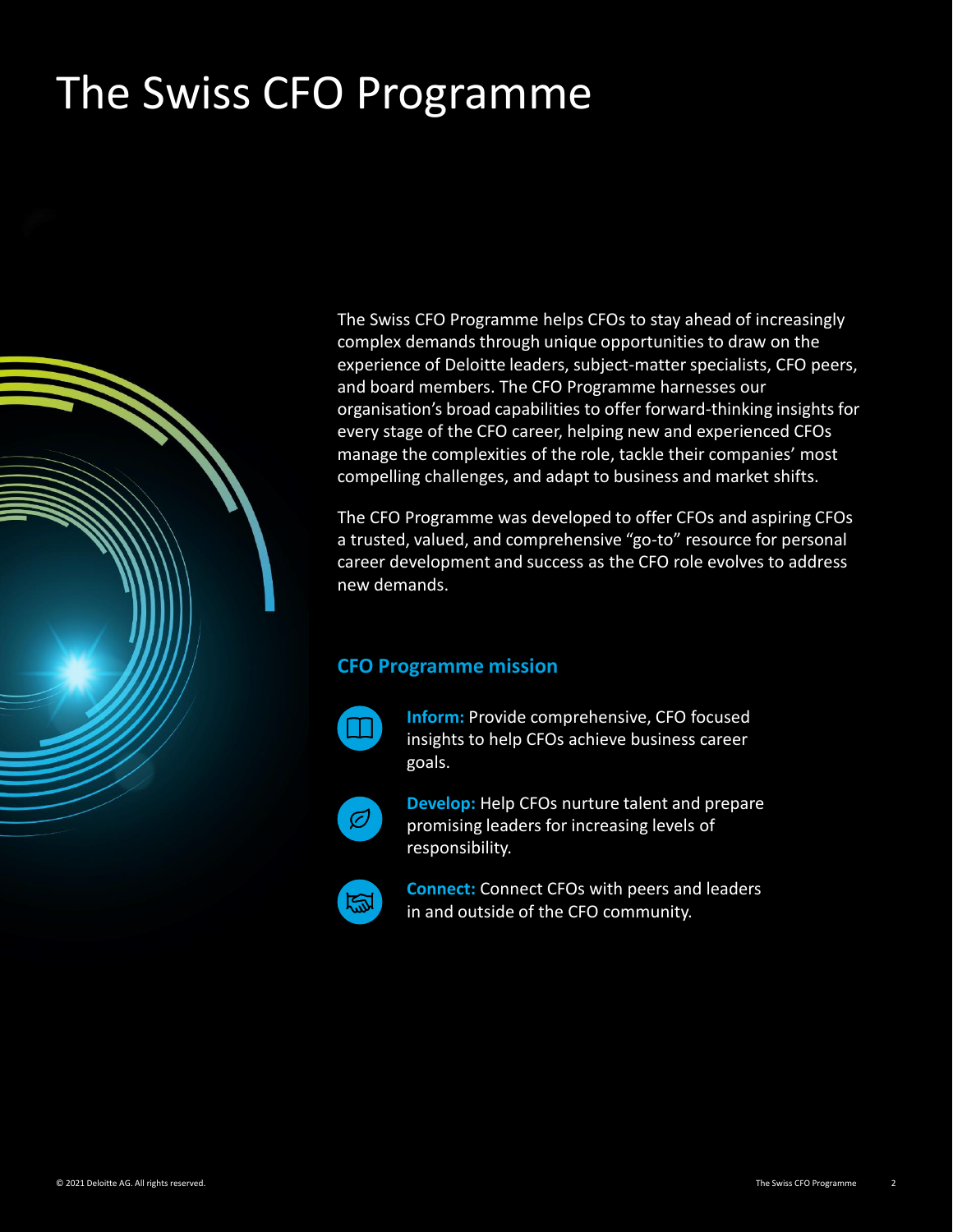# The Swiss CFO Programme



The Swiss CFO Programme helps CFOs to stay ahead of increasingly complex demands through unique opportunities to draw on the experience of Deloitte leaders, subject-matter specialists, CFO peers, and board members. The CFO Programme harnesses our organisation's broad capabilities to offer forward-thinking insights for every stage of the CFO career, helping new and experienced CFOs manage the complexities of the role, tackle their companies' most compelling challenges, and adapt to business and market shifts.

The CFO Programme was developed to offer CFOs and aspiring CFOs a trusted, valued, and comprehensive "go-to" resource for personal career development and success as the CFO role evolves to address new demands.

#### **CFO Programme mission**



**Inform:** Provide comprehensive, CFO focused insights to help CFOs achieve business career goals.



**Develop:** Help CFOs nurture talent and prepare promising leaders for increasing levels of responsibility.



**Connect:** Connect CFOs with peers and leaders in and outside of the CFO community.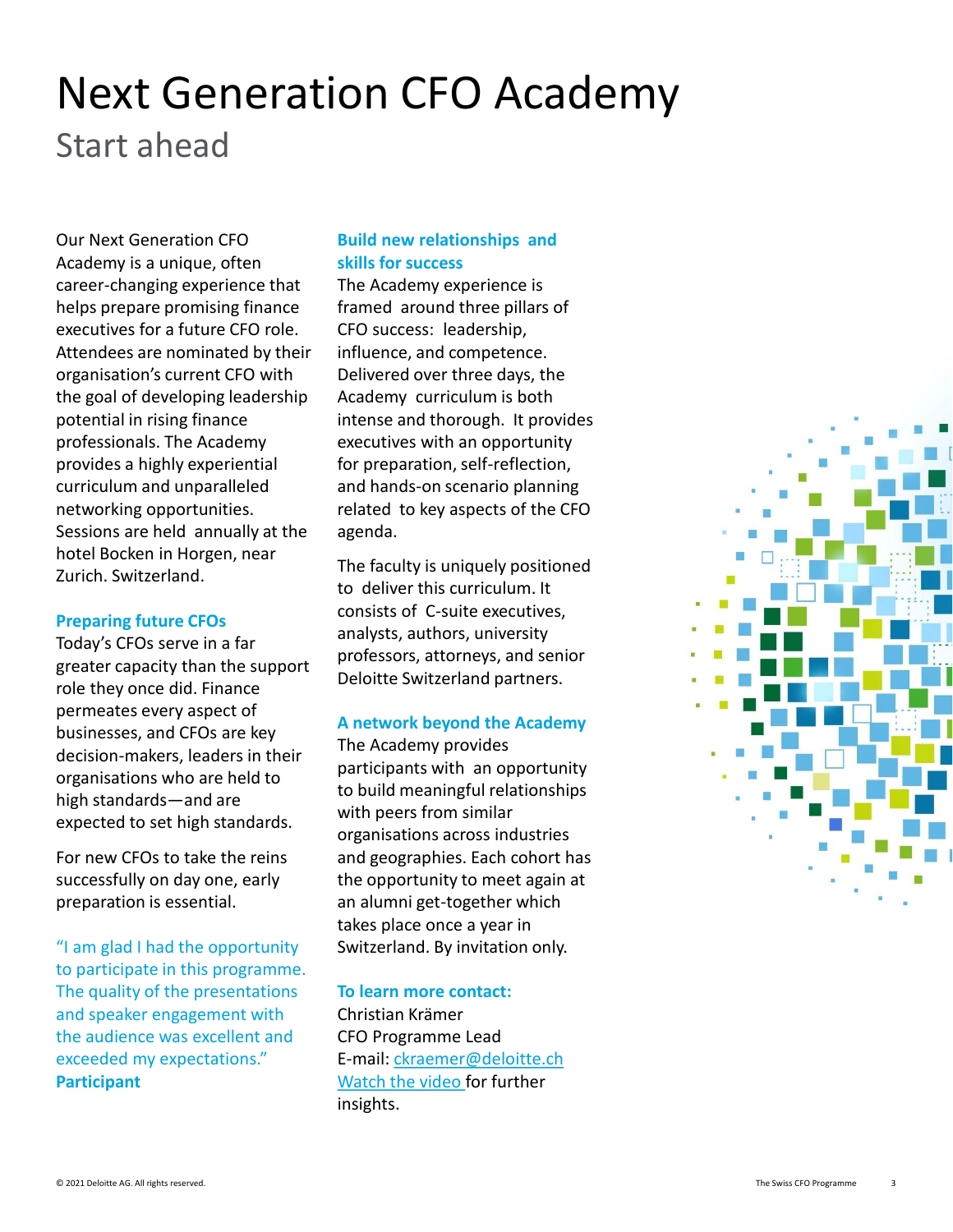### Start ahead Next Generation CFO Academy

Our Next Generation CFO Academy is a unique, often career-changing experience that helps prepare promising finance executives for a future CFO role. Attendees are nominated by their organisation's current CFO with the goal of developing leadership potential in rising finance professionals. The Academy provides a highly experiential curriculum and unparalleled networking opportunities. Sessions are held annually at the hotel Bocken in Horgen, near Zurich. Switzerland.

#### **Preparing future CFOs**

Today's CFOs serve in a far greater capacity than the support role they once did. Finance permeates every aspect of businesses, and CFOs are key decision-makers, leaders in their organisations who are held to high standards—and are expected to set high standards.

For new CFOs to take the reins successfully on day one, early preparation is essential.

"I am glad I had the opportunity to participate in this programme. The quality of the presentations and speaker engagement with the audience was excellent and exceeded my expectations." **Participant**

#### **Build new relationships and skills for success**

The Academy experience is framed around three pillars of CFO success: leadership, influence, and competence. Delivered over three days, the Academy curriculum is both intense and thorough. It provides executives with an opportunity for preparation, self-reflection, and hands-on scenario planning related to key aspects of the CFO agenda.

The faculty is uniquely positioned to deliver this curriculum. It consists of C-suite executives, analysts, authors, university professors, attorneys, and senior Deloitte Switzerland partners.

#### **A network beyond the Academy**

The Academy provides participants with an opportunity to build meaningful relationships with peers from similar organisations across industries and geographies. Each cohort has the opportunity to meet again at an alumni get-together which takes place once a year in Switzerland. By invitation only.

#### **To learn more contact:**

Christian Krämer CFO Programme Lead E-mail: [ckraemer@deloitte.ch](mailto:ckraemer@deloitte.ch) [Watch the video](https://deloitte-buto.videomarketingplatform.co/secret/72324195/7ed3e629707bd9d820038805db793cdd) for further insights.

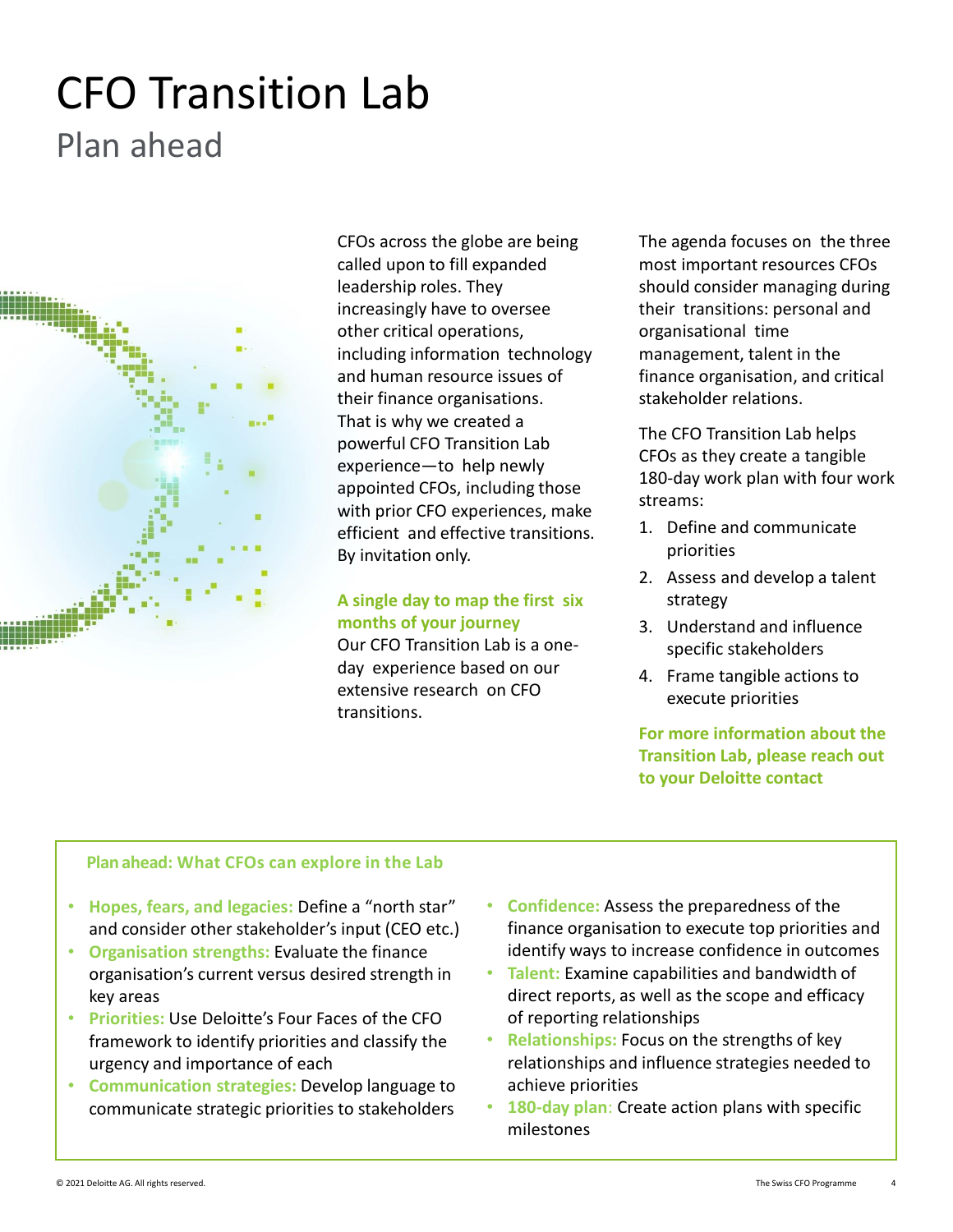## Plan ahead CFO Transition Lab



CFOs across the globe are being called upon to fill expanded leadership roles. They increasingly have to oversee other critical operations, including information technology and human resource issues of their finance organisations. That is why we created a powerful CFO Transition Lab experience—to help newly appointed CFOs, including those with prior CFO experiences, make efficient and effective transitions. By invitation only.

#### **A single day to map the first six months of your journey**

Our CFO Transition Lab is a oneday experience based on our extensive research on CFO transitions.

The agenda focuses on the three most important resources CFOs should consider managing during their transitions: personal and organisational time management, talent in the finance organisation, and critical stakeholder relations.

The CFO Transition Lab helps CFOs as they create a tangible 180-day work plan with four work streams:

- 1. Define and communicate priorities
- 2. Assess and develop a talent strategy
- 3. Understand and influence specific stakeholders
- 4. Frame tangible actions to execute priorities

**For more information about the Transition Lab, please reach out to your Deloitte contact**

#### **Planahead: What CFOs can explore in the Lab**

- **Hopes, fears, and legacies:** Define a "north star" and consider other stakeholder's input (CEO etc.)
- **Organisation strengths:** Evaluate the finance organisation's current versus desired strength in key areas
- **Priorities:** Use Deloitte's Four Faces of the CFO framework to identify priorities and classify the urgency and importance of each
- **Communication strategies:** Develop language to communicate strategic priorities to stakeholders
- **Confidence:** Assess the preparedness of the finance organisation to execute top priorities and identify ways to increase confidence in outcomes
- **Talent:** Examine capabilities and bandwidth of direct reports, as well as the scope and efficacy of reporting relationships
- **Relationships:** Focus on the strengths of key relationships and influence strategies needed to achieve priorities
- **180-day plan**: Create action plans with specific milestones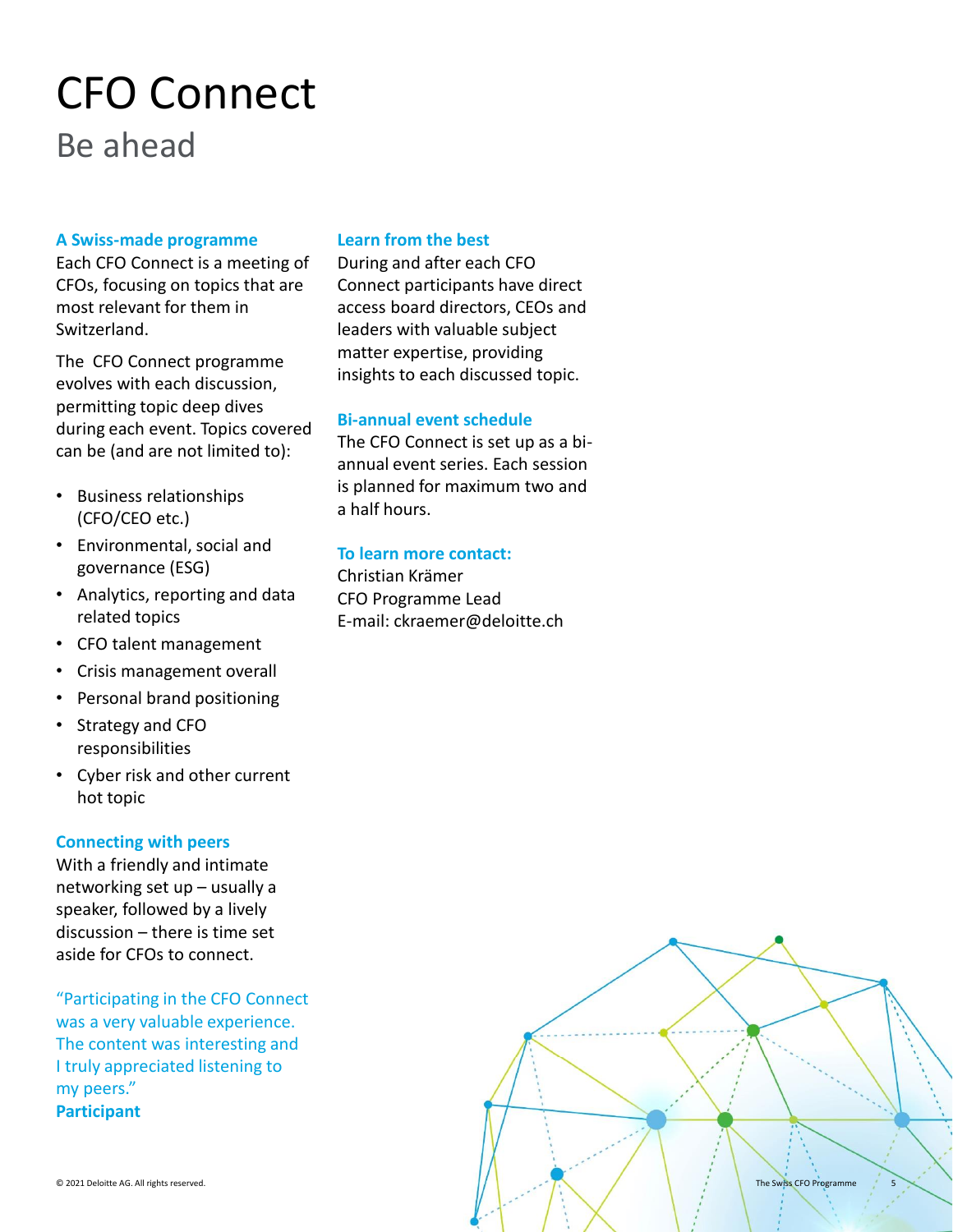### Be ahead CFO Connect

#### **A Swiss-made programme**

Each CFO Connect is a meeting of CFOs, focusing on topics that are most relevant for them in Switzerland.

The CFO Connect programme evolves with each discussion, permitting topic deep dives during each event. Topics covered can be (and are not limited to):

- Business relationships (CFO/CEO etc.)
- Environmental, social and governance (ESG)
- Analytics, reporting and data related topics
- CFO talent management
- Crisis management overall
- Personal brand positioning
- Strategy and CFO responsibilities
- Cyber risk and other current hot topic

#### **Connecting with peers**

With a friendly and intimate networking set up – usually a speaker, followed by a lively discussion – there is time set aside for CFOs to connect.

"Participating in the CFO Connect was a very valuable experience. The content was interesting and I truly appreciated listening to my peers." **Participant**

#### **Learn from the best**

During and after each CFO Connect participants have direct access board directors, CEOs and leaders with valuable subject matter expertise, providing insights to each discussed topic.

#### **Bi-annual event schedule**

The CFO Connect is set up as a biannual event series. Each session is planned for maximum two and a half hours.

#### **To learn more contact:**

Christian Krämer CFO Programme Lead E-mail: ckraemer@deloitte.ch

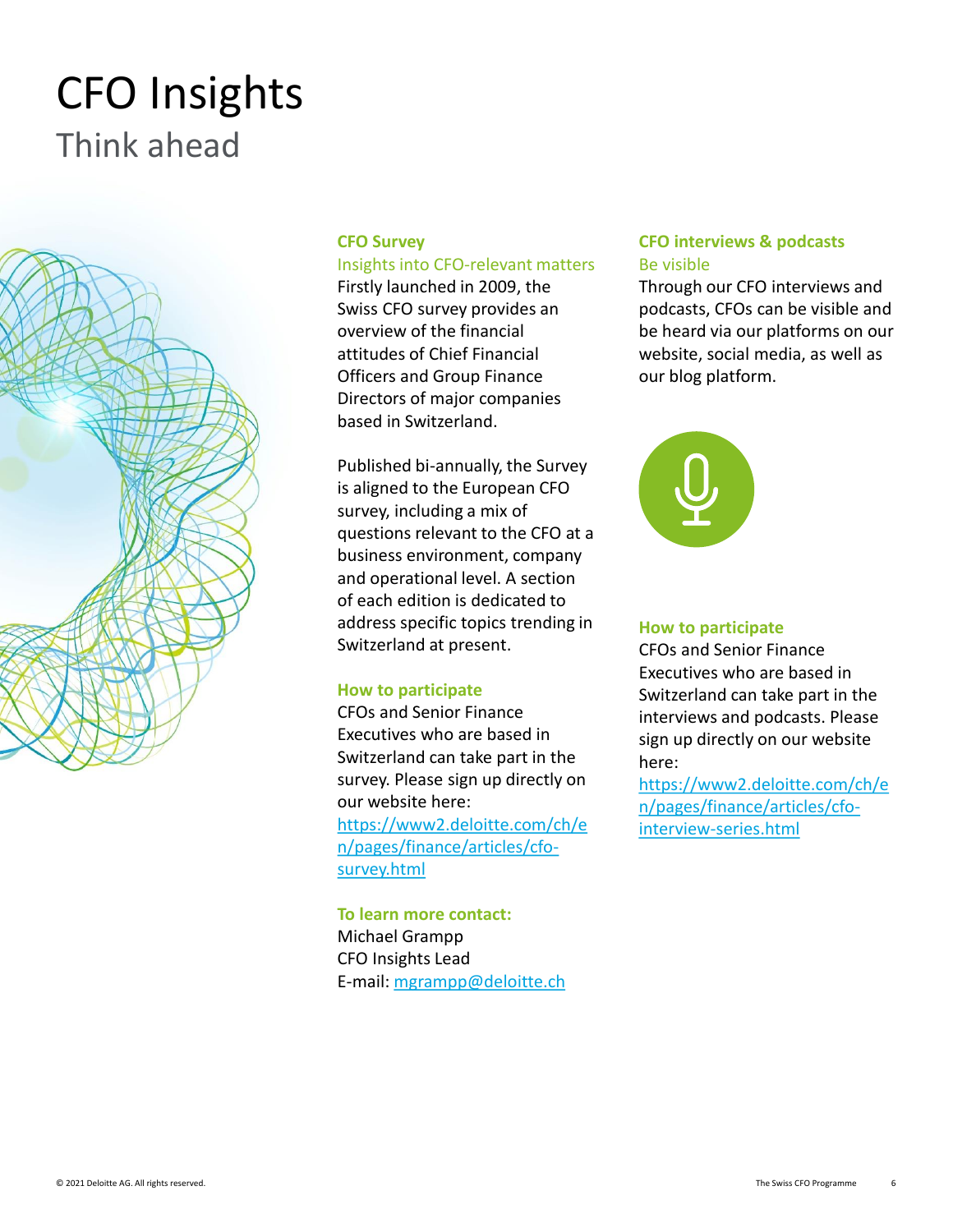### Think ahead CFO Insights



#### **CFO Survey**

#### Insights into CFO-relevant matters

Firstly launched in 2009, the Swiss CFO survey provides an overview of the financial attitudes of Chief Financial Officers and Group Finance Directors of major companies based in Switzerland.

Published bi-annually, the Survey is aligned to the European CFO survey, including a mix of questions relevant to the CFO at a business environment, company and operational level. A section of each edition is dedicated to address specific topics trending in Switzerland at present.

#### **How to participate**

CFOs and Senior Finance Executives who are based in Switzerland can take part in the survey. Please sign up directly on our website here: [https://www2.deloitte.com/ch/e](https://www2.deloitte.com/ch/en/pages/finance/articles/cfo-survey.html) n/pages/finance/articles/cfosurvey.html

**To learn more contact:** Michael Grampp CFO Insights Lead E-mail: [mgrampp@deloitte.ch](mailto:mgrampp@deloitte.ch)

#### **CFO interviews & podcasts** Be visible

Through our CFO interviews and podcasts, CFOs can be visible and be heard via our platforms on our website, social media, as well as our blog platform.



#### **How to participate**

CFOs and Senior Finance Executives who are based in Switzerland can take part in the interviews and podcasts. Please sign up directly on our website here:

[https://www2.deloitte.com/ch/e](https://www2.deloitte.com/ch/en/pages/finance/articles/cfo-interview-series.html) n/pages/finance/articles/cfointerview-series.html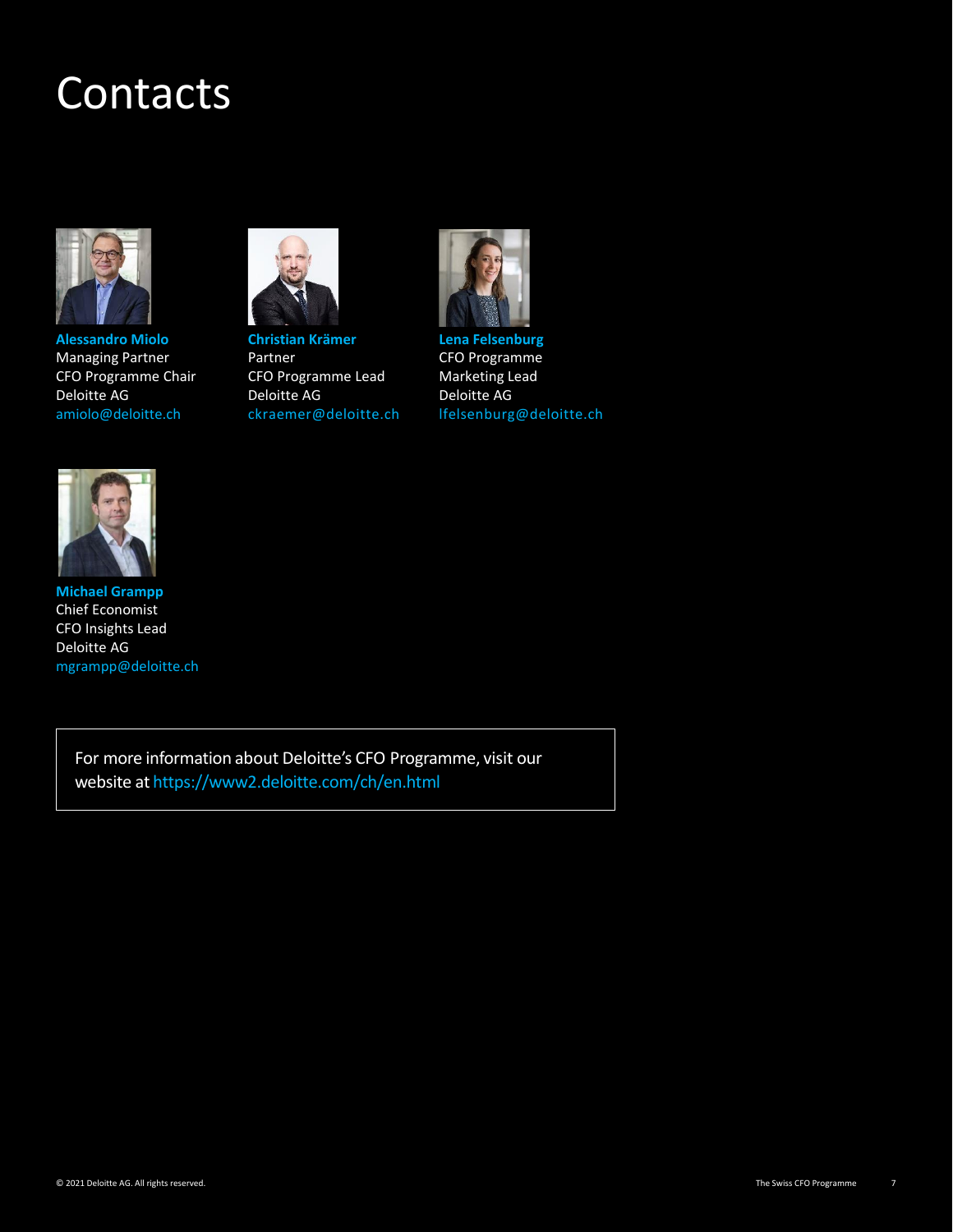### Contacts



**Alessandro Miolo** Managing Partner CFO Programme Chair Deloitte AG amiolo@deloitte.ch



**Christian Krämer** Partner CFO Programme Lead Deloitte AG ckraemer@deloitte.ch



**Lena Felsenburg** CFO Programme Marketing Lead Deloitte AG lfelsenburg@deloitte.ch



**Michael Grampp** Chief Economist CFO Insights Lead Deloitte AG mgrampp@deloitte.ch

> For more information about Deloitte's CFO Programme, visit our website at https://www2.deloitte.com/ch/en.html